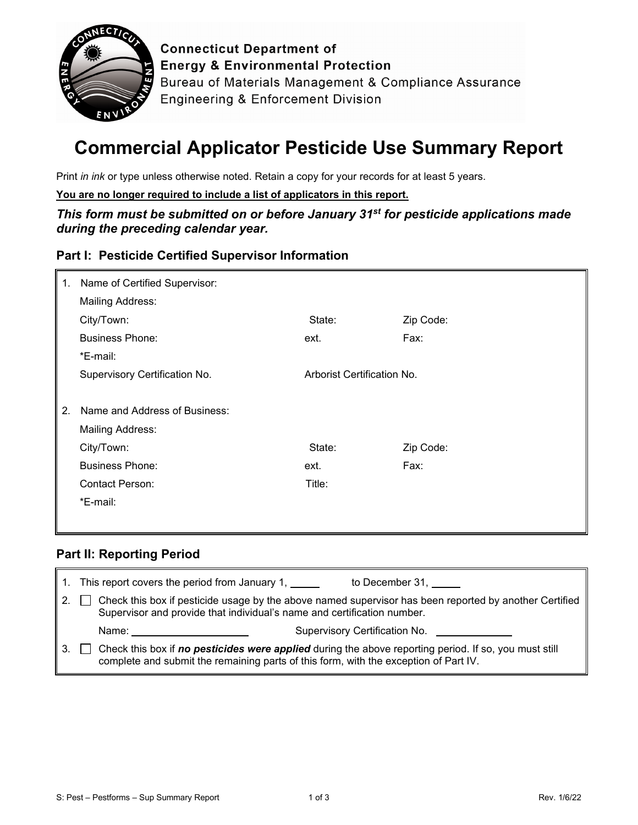

**Connecticut Department of Energy & Environmental Protection** Bureau of Materials Management & Compliance Assurance **Engineering & Enforcement Division** 

# **Commercial Applicator Pesticide Use Summary Report**

Print *in ink* or type unless otherwise noted. Retain a copy for your records for at least 5 years.

**You are no longer required to include a list of applicators in this report.**

*This form must be submitted on or before January 31st for pesticide applications made during the preceding calendar year.*

## **Part I: Pesticide Certified Supervisor Information**

| 1. | Name of Certified Supervisor: |                            |           |
|----|-------------------------------|----------------------------|-----------|
|    | <b>Mailing Address:</b>       |                            |           |
|    | City/Town:                    | State:                     | Zip Code: |
|    | <b>Business Phone:</b>        | ext.                       | Fax:      |
|    | *E-mail:                      |                            |           |
|    | Supervisory Certification No. | Arborist Certification No. |           |
|    |                               |                            |           |
| 2. | Name and Address of Business: |                            |           |
|    | <b>Mailing Address:</b>       |                            |           |
|    | City/Town:                    | State:                     | Zip Code: |
|    | <b>Business Phone:</b>        | ext.                       | Fax:      |
|    | <b>Contact Person:</b>        | Title:                     |           |
|    | *E-mail:                      |                            |           |
|    |                               |                            |           |

## **Part II: Reporting Period**

|    |                                                                                                                                                                                               | 1. This report covers the period from January 1, 1.                                                                                                                               | to December 31, |  |
|----|-----------------------------------------------------------------------------------------------------------------------------------------------------------------------------------------------|-----------------------------------------------------------------------------------------------------------------------------------------------------------------------------------|-----------------|--|
| 2. |                                                                                                                                                                                               | Check this box if pesticide usage by the above named supervisor has been reported by another Certified<br>Supervisor and provide that individual's name and certification number. |                 |  |
|    |                                                                                                                                                                                               | Name: <u>___________________________</u>                                                                                                                                          |                 |  |
|    | Check this box if no pesticides were applied during the above reporting period. If so, you must still<br>complete and submit the remaining parts of this form, with the exception of Part IV. |                                                                                                                                                                                   |                 |  |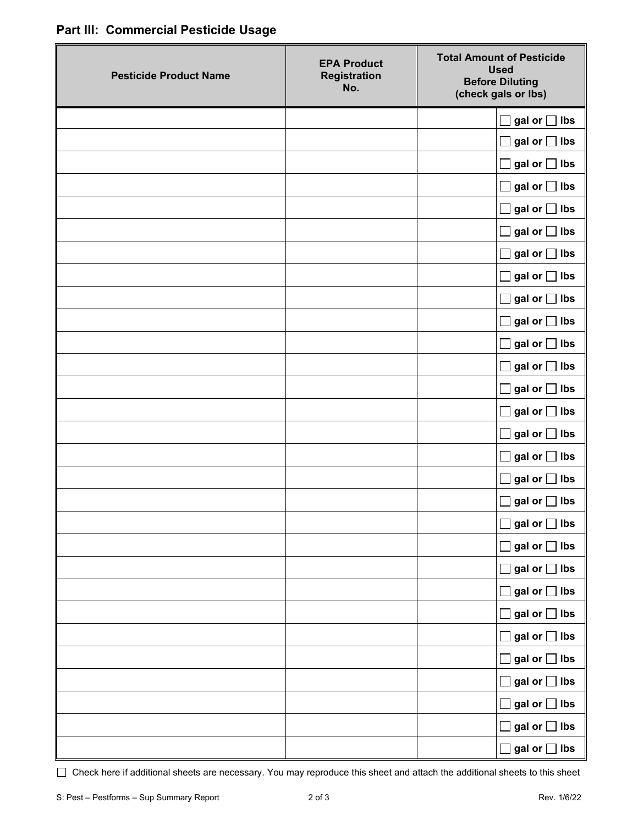|  | Part III: Commercial Pesticide Usage |  |  |
|--|--------------------------------------|--|--|
|--|--------------------------------------|--|--|

| <b>Pesticide Product Name</b> | <b>EPA Product</b><br><b>Registration</b><br>No. | <b>Total Amount of Pesticide</b><br><b>Used</b><br><b>Before Diluting</b><br>(check gals or lbs) |
|-------------------------------|--------------------------------------------------|--------------------------------------------------------------------------------------------------|
|                               |                                                  | gal or [<br>$\Box$ lbs                                                                           |
|                               |                                                  | gal or $\Box$ lbs                                                                                |
|                               |                                                  | gal or $\Box$ lbs                                                                                |
|                               |                                                  | gal or $\Box$ lbs                                                                                |
|                               |                                                  | gal or $\Box$ lbs                                                                                |
|                               |                                                  | gal or $\Box$ lbs                                                                                |
|                               |                                                  | gal or $\Box$ lbs                                                                                |
|                               |                                                  | gal or $\Box$ lbs                                                                                |
|                               |                                                  | gal or $\Box$ lbs                                                                                |
|                               |                                                  | gal or $\Box$ lbs                                                                                |
|                               |                                                  | gal or $\Box$ lbs                                                                                |
|                               |                                                  | gal or $\Box$ lbs                                                                                |
|                               |                                                  | gal or $\Box$ lbs                                                                                |
|                               |                                                  | gal or $\Box$ lbs                                                                                |
|                               |                                                  | gal or $\Box$ lbs                                                                                |
|                               |                                                  | gal or $\Box$ lbs                                                                                |
|                               |                                                  | $\rfloor$ lbs<br>gal or [                                                                        |
|                               |                                                  | gal or $\Box$ lbs                                                                                |
|                               |                                                  | gal or $\Box$ lbs                                                                                |
|                               |                                                  | gal or $\Box$ lbs<br>$\Box$                                                                      |
|                               |                                                  | gal or $\Box$ lbs<br>$\blacksquare$                                                              |
|                               |                                                  | gal or $\Box$ lbs<br>$\blacksquare$                                                              |
|                               |                                                  | gal or $\Box$ lbs                                                                                |
|                               |                                                  | gal or $\Box$ lbs                                                                                |
|                               |                                                  | gal or $\Box$ lbs<br>$\Box$                                                                      |
|                               |                                                  | gal or $\Box$ lbs<br>$\overline{\phantom{0}}$                                                    |
|                               |                                                  | gal or $\Box$ lbs<br>$\overline{\phantom{a}}$                                                    |
|                               |                                                  | gal or $\Box$ lbs                                                                                |
|                               |                                                  | $\Box$ gal or $\Box$ lbs                                                                         |

Check here if additional sheets are necessary. You may reproduce this sheet and attach the additional sheets to this sheet